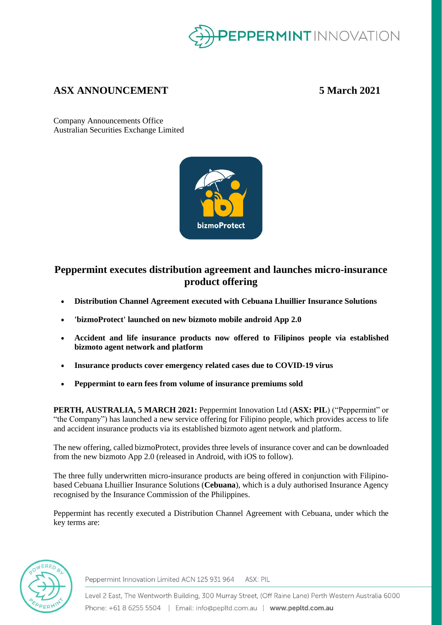

# **ASX ANNOUNCEMENT 5 March 2021**

Company Announcements Office Australian Securities Exchange Limited



# **Peppermint executes distribution agreement and launches micro-insurance product offering**

- **Distribution Channel Agreement executed with Cebuana Lhuillier Insurance Solutions**
- **'bizmoProtect' launched on new bizmoto mobile android App 2.0**
- **Accident and life insurance products now offered to Filipinos people via established bizmoto agent network and platform**
- **Insurance products cover emergency related cases due to COVID-19 virus**
- **Peppermint to earn fees from volume of insurance premiums sold**

**PERTH, AUSTRALIA, 5 MARCH 2021:** Peppermint Innovation Ltd (**ASX: PIL**) ("Peppermint" or "the Company") has launched a new service offering for Filipino people, which provides access to life and accident insurance products via its established bizmoto agent network and platform.

The new offering, called bizmoProtect, provides three levels of insurance cover and can be downloaded from the new bizmoto App 2.0 (released in Android, with iOS to follow).

The three fully underwritten micro-insurance products are being offered in conjunction with Filipinobased Cebuana Lhuillier Insurance Solutions (**Cebuana**), which is a duly authorised Insurance Agency recognised by the Insurance Commission of the Philippines.

Peppermint has recently executed a Distribution Channel Agreement with Cebuana, under which the key terms are:



Peppermint Innovation Limited ACN 125 931 964 ASX: PIL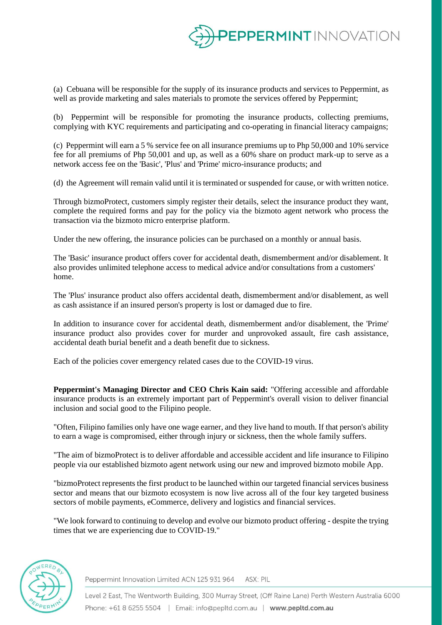

(a) Cebuana will be responsible for the supply of its insurance products and services to Peppermint, as well as provide marketing and sales materials to promote the services offered by Peppermint;

(b) Peppermint will be responsible for promoting the insurance products, collecting premiums, complying with KYC requirements and participating and co-operating in financial literacy campaigns;

(c) Peppermint will earn a 5 % service fee on all insurance premiums up to Php 50,000 and 10% service fee for all premiums of Php 50,001 and up, as well as a 60% share on product mark-up to serve as a network access fee on the 'Basic', 'Plus' and 'Prime' micro-insurance products; and

(d) the Agreement will remain valid until it is terminated or suspended for cause, or with written notice.

Through bizmoProtect, customers simply register their details, select the insurance product they want, complete the required forms and pay for the policy via the bizmoto agent network who process the transaction via the bizmoto micro enterprise platform.

Under the new offering, the insurance policies can be purchased on a monthly or annual basis.

The 'Basic' insurance product offers cover for accidental death, dismemberment and/or disablement. It also provides unlimited telephone access to medical advice and/or consultations from a customers' home.

The 'Plus' insurance product also offers accidental death, dismemberment and/or disablement, as well as cash assistance if an insured person's property is lost or damaged due to fire.

In addition to insurance cover for accidental death, dismemberment and/or disablement, the 'Prime' insurance product also provides cover for murder and unprovoked assault, fire cash assistance, accidental death burial benefit and a death benefit due to sickness.

Each of the policies cover emergency related cases due to the COVID-19 virus.

**Peppermint's Managing Director and CEO Chris Kain said:** "Offering accessible and affordable insurance products is an extremely important part of Peppermint's overall vision to deliver financial inclusion and social good to the Filipino people.

"Often, Filipino families only have one wage earner, and they live hand to mouth. If that person's ability to earn a wage is compromised, either through injury or sickness, then the whole family suffers.

"The aim of bizmoProtect is to deliver affordable and accessible accident and life insurance to Filipino people via our established bizmoto agent network using our new and improved bizmoto mobile App.

"bizmoProtect represents the first product to be launched within our targeted financial services business sector and means that our bizmoto ecosystem is now live across all of the four key targeted business sectors of mobile payments, eCommerce, delivery and logistics and financial services.

"We look forward to continuing to develop and evolve our bizmoto product offering - despite the trying times that we are experiencing due to COVID-19."



Peppermint Innovation Limited ACN 125 931 964 ASX: PIL